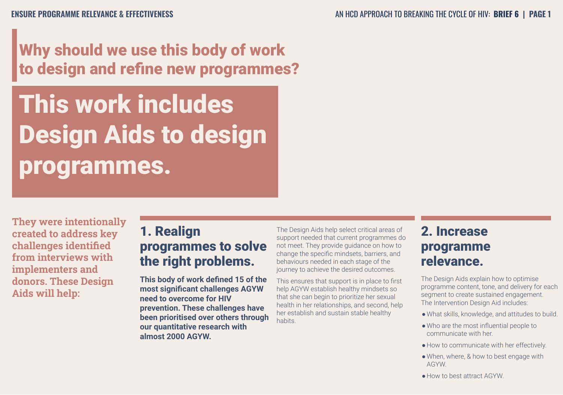## Why should we use this body of work to design and refine new programmes?

# This work includes Design Aids to design programmes.

**They were intentionally created to address key challenges identified from interviews with implementers and donors. These Design Aids will help:**

### 1. Realign programmes to solve the right problems.

**This body of work defined 15 of the most significant challenges AGYW need to overcome for HIV prevention. These challenges have been prioritised over others through our quantitative research with almost 2000 AGYW.**

The Design Aids help select critical areas of support needed that current programmes do not meet. They provide guidance on how to change the specific mindsets, barriers, and behaviours needed in each stage of the journey to achieve the desired outcomes.

This ensures that support is in place to first help AGYW establish healthy mindsets so that she can begin to prioritize her sexual health in her relationships, and second, help her establish and sustain stable healthy habits.

### 2. Increase programme relevance.

The Design Aids explain how to optimise programme content, tone, and delivery for each segment to create sustained engagement. The Intervention Design Aid includes:

- ●What skills, knowledge, and attitudes to build.
- ●Who are the most influential people to communicate with her.
- How to communicate with her effectively.
- When, where, & how to best engage with AGYW.
- How to best attract AGYW.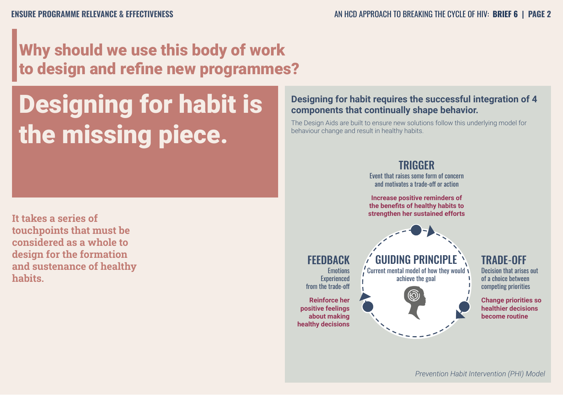## Why should we use this body of work to design and refine new programmes?

## Designing for habit is the missing piece.

**It takes a series of touchpoints that must be considered as a whole to design for the formation and sustenance of healthy habits.**

#### **Designing for habit requires the successful integration of 4 components that continually shape behavior.**

The Design Aids are built to ensure new solutions follow this underlying model for behaviour change and result in healthy habits.

#### TRIGGER

Event that raises some form of concern and motivates a trade-off or action

**Increase positive reminders of the benefits of healthy habits to strengthen her sustained efforts** 



#### TRADE-OFF

Decision that arises out of a choice between competing priorities

**Change priorities so healthier decisions become routine**

#### **FEEDBACK**

**Emotions** Experienced from the trade-off

**Reinforce her positive feelings about making healthy decisions**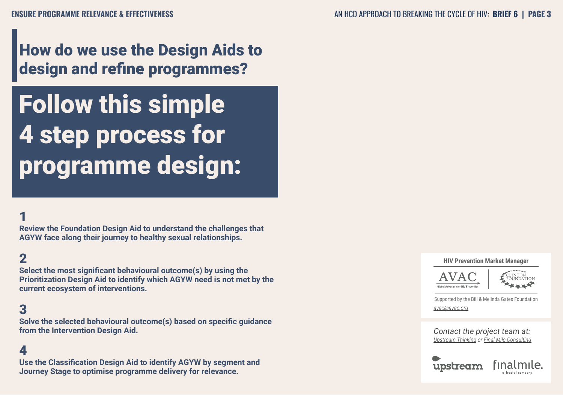## How do we use the Design Aids to design and refine programmes?

Follow this simple 4 step process for programme design:

#### 1

**Review the Foundation Design Aid to understand the challenges that AGYW face along their journey to healthy sexual relationships.**

#### 2

**Select the most significant behavioural outcome(s) by using the Prioritization Design Aid to identify which AGYW need is not met by the current ecosystem of interventions.**

#### 3

**Solve the selected behavioural outcome(s) based on specific guidance from the Intervention Design Aid.**

#### 4

**Use the Classification Design Aid to identify AGYW by segment and Journey Stage to optimise programme delivery for relevance.**

#### **HIV Prevention Market Manager**



Supported by the Bill & Melinda Gates Foundation *avac@avac.org*

*Contact the project team at: Upstream Thinking or Final Mile Consulting*